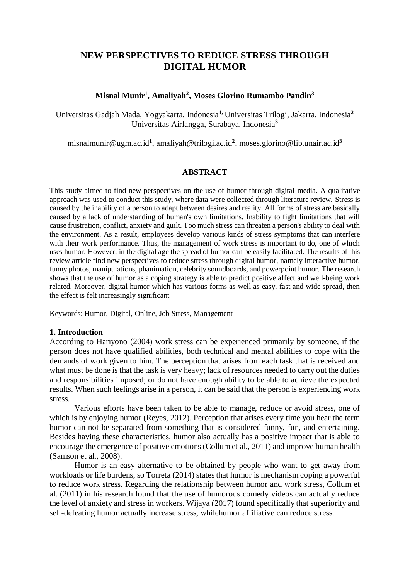# **NEW PERSPECTIVES TO REDUCE STRESS THROUGH DIGITAL HUMOR**

## **Misnal Munir<sup>1</sup> , Amaliyah<sup>2</sup> , Moses Glorino Rumambo Pandin<sup>3</sup>**

Universitas Gadjah Mada, Yogyakarta, Indonesia**1,** Universitas Trilogi, Jakarta, Indonesia**<sup>2</sup>** Universitas Airlangga, Surabaya, Indonesia**<sup>3</sup>**

[misnalmunir@ugm.ac.id](mailto:misnalmunir@ugm.ac.id)**<sup>1</sup>** , [amaliyah@trilogi.ac.id](mailto:amaliyah@trilogi.ac.id)**<sup>2</sup>** , moses.glorino@fib.unair.ac.id**<sup>3</sup>**

## **ABSTRACT**

This study aimed to find new perspectives on the use of humor through digital media. A qualitative approach was used to conduct this study, where data were collected through literature review. Stress is caused by the inability of a person to adapt between desires and reality. All forms of stress are basically caused by a lack of understanding of human's own limitations. Inability to fight limitations that will cause frustration, conflict, anxiety and guilt. Too much stress can threaten a person's ability to deal with the environment. As a result, employees develop various kinds of stress symptoms that can interfere with their work performance. Thus, the management of work stress is important to do, one of which uses humor. However, in the digital age the spread of humor can be easily facilitated. The results of this review article find new perspectives to reduce stress through digital humor, namely interactive humor, funny photos, manipulations, phanimation, celebrity soundboards, and powerpoint humor. The research shows that the use of humor as a coping strategy is able to predict positive affect and well-being work related. Moreover, digital humor which has various forms as well as easy, fast and wide spread, then the effect is felt increasingly significant

Keywords: Humor, Digital, Online, Job Stress, Management

## **1. Introduction**

According to Hariyono (2004) work stress can be experienced primarily by someone, if the person does not have qualified abilities, both technical and mental abilities to cope with the demands of work given to him. The perception that arises from each task that is received and what must be done is that the task is very heavy; lack of resources needed to carry out the duties and responsibilities imposed; or do not have enough ability to be able to achieve the expected results. When such feelings arise in a person, it can be said that the person is experiencing work stress.

Various efforts have been taken to be able to manage, reduce or avoid stress, one of which is by enjoying humor (Reyes, 2012). Perception that arises every time you hear the term humor can not be separated from something that is considered funny, fun, and entertaining. Besides having these characteristics, humor also actually has a positive impact that is able to encourage the emergence of positive emotions (Collum et al., 2011) and improve human health (Samson et al., 2008).

Humor is an easy alternative to be obtained by people who want to get away from workloads or life burdens, so Torreta (2014) states that humor is mechanism coping a powerful to reduce work stress. Regarding the relationship between humor and work stress, Collum et al. (2011) in his research found that the use of humorous comedy videos can actually reduce the level of anxiety and stress in workers. Wijaya (2017) found specifically that superiority and self-defeating humor actually increase stress, whilehumor affiliative can reduce stress.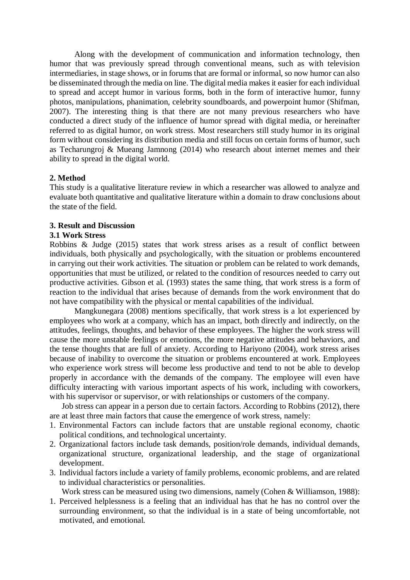Along with the development of communication and information technology, then humor that was previously spread through conventional means, such as with television intermediaries, in stage shows, or in forums that are formal or informal, so now humor can also be disseminated through the media on line. The digital media makes it easier for each individual to spread and accept humor in various forms, both in the form of interactive humor, funny photos, manipulations, phanimation, celebrity soundboards, and powerpoint humor (Shifman, 2007). The interesting thing is that there are not many previous researchers who have conducted a direct study of the influence of humor spread with digital media, or hereinafter referred to as digital humor, on work stress. Most researchers still study humor in its original form without considering its distribution media and still focus on certain forms of humor, such as Techarungroj & Mueang Jamnong (2014) who research about internet memes and their ability to spread in the digital world.

## **2. Method**

This study is a qualitative literature review in which a researcher was allowed to analyze and evaluate both quantitative and qualitative literature within a domain to draw conclusions about the state of the field.

## **3. Result and Discussion**

## **3.1 Work Stress**

Robbins & Judge (2015) states that work stress arises as a result of conflict between individuals, both physically and psychologically, with the situation or problems encountered in carrying out their work activities. The situation or problem can be related to work demands, opportunities that must be utilized, or related to the condition of resources needed to carry out productive activities. Gibson et al. (1993) states the same thing, that work stress is a form of reaction to the individual that arises because of demands from the work environment that do not have compatibility with the physical or mental capabilities of the individual.

Mangkunegara (2008) mentions specifically, that work stress is a lot experienced by employees who work at a company, which has an impact, both directly and indirectly, on the attitudes, feelings, thoughts, and behavior of these employees. The higher the work stress will cause the more unstable feelings or emotions, the more negative attitudes and behaviors, and the tense thoughts that are full of anxiety. According to Hariyono (2004), work stress arises because of inability to overcome the situation or problems encountered at work. Employees who experience work stress will become less productive and tend to not be able to develop properly in accordance with the demands of the company. The employee will even have difficulty interacting with various important aspects of his work, including with coworkers, with his supervisor or supervisor, or with relationships or customers of the company.

Job stress can appear in a person due to certain factors. According to Robbins (2012), there are at least three main factors that cause the emergence of work stress, namely:

- 1. Environmental Factors can include factors that are unstable regional economy, chaotic political conditions, and technological uncertainty.
- 2. Organizational factors include task demands, position/role demands, individual demands, organizational structure, organizational leadership, and the stage of organizational development.
- 3. Individual factors include a variety of family problems, economic problems, and are related to individual characteristics or personalities.

Work stress can be measured using two dimensions, namely (Cohen & Williamson, 1988):

1. Perceived helplessness is a feeling that an individual has that he has no control over the surrounding environment, so that the individual is in a state of being uncomfortable, not motivated, and emotional.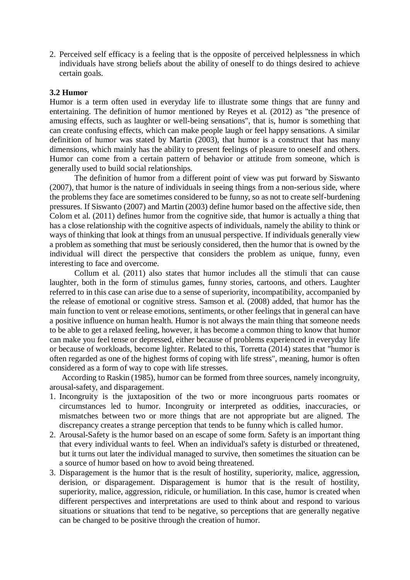2. Perceived self efficacy is a feeling that is the opposite of perceived helplessness in which individuals have strong beliefs about the ability of oneself to do things desired to achieve certain goals.

#### **3.2 Humor**

Humor is a term often used in everyday life to illustrate some things that are funny and entertaining. The definition of humor mentioned by Reyes et al. (2012) as "the presence of amusing effects, such as laughter or well-being sensations", that is, humor is something that can create confusing effects, which can make people laugh or feel happy sensations. A similar definition of humor was stated by Martin (2003), that humor is a construct that has many dimensions, which mainly has the ability to present feelings of pleasure to oneself and others. Humor can come from a certain pattern of behavior or attitude from someone, which is generally used to build social relationships.

The definition of humor from a different point of view was put forward by Siswanto (2007), that humor is the nature of individuals in seeing things from a non-serious side, where the problems they face are sometimes considered to be funny, so as not to create self-burdening pressures. If Siswanto (2007) and Martin (2003) define humor based on the affective side, then Colom et al. (2011) defines humor from the cognitive side, that humor is actually a thing that has a close relationship with the cognitive aspects of individuals, namely the ability to think or ways of thinking that look at things from an unusual perspective. If individuals generally view a problem as something that must be seriously considered, then the humor that is owned by the individual will direct the perspective that considers the problem as unique, funny, even interesting to face and overcome.

Collum et al. (2011) also states that humor includes all the stimuli that can cause laughter, both in the form of stimulus games, funny stories, cartoons, and others. Laughter referred to in this case can arise due to a sense of superiority, incompatibility, accompanied by the release of emotional or cognitive stress. Samson et al. (2008) added, that humor has the main function to vent or release emotions, sentiments, or other feelings that in general can have a positive influence on human health. Humor is not always the main thing that someone needs to be able to get a relaxed feeling, however, it has become a common thing to know that humor can make you feel tense or depressed, either because of problems experienced in everyday life or because of workloads, become lighter. Related to this, Torretta (2014) states that "humor is often regarded as one of the highest forms of coping with life stress", meaning, humor is often considered as a form of way to cope with life stresses.

According to Raskin (1985), humor can be formed from three sources, namely incongruity, arousal-safety, and disparagement.

- 1. Incongruity is the juxtaposition of the two or more incongruous parts roomates or circumstances led to humor. Incongruity or interpreted as oddities, inaccuracies, or mismatches between two or more things that are not appropriate but are aligned. The discrepancy creates a strange perception that tends to be funny which is called humor.
- 2. Arousal-Safety is the humor based on an escape of some form. Safety is an important thing that every individual wants to feel. When an individual's safety is disturbed or threatened, but it turns out later the individual managed to survive, then sometimes the situation can be a source of humor based on how to avoid being threatened.
- 3. Disparagement is the humor that is the result of hostility, superiority, malice, aggression, derision, or disparagement. Disparagement is humor that is the result of hostility, superiority, malice, aggression, ridicule, or humiliation. In this case, humor is created when different perspectives and interpretations are used to think about and respond to various situations or situations that tend to be negative, so perceptions that are generally negative can be changed to be positive through the creation of humor.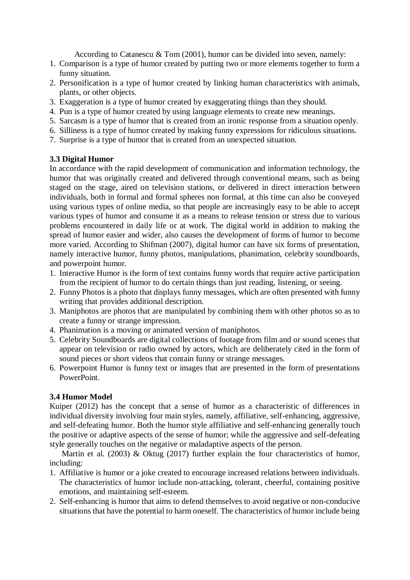According to Catanescu & Tom (2001), humor can be divided into seven, namely:

- 1. Comparison is a type of humor created by putting two or more elements together to form a funny situation.
- 2. Personification is a type of humor created by linking human characteristics with animals, plants, or other objects.
- 3. Exaggeration is a type of humor created by exaggerating things than they should.
- 4. Pun is a type of humor created by using language elements to create new meanings.
- 5. Sarcasm is a type of humor that is created from an ironic response from a situation openly.
- 6. Silliness is a type of humor created by making funny expressions for ridiculous situations.
- 7. Surprise is a type of humor that is created from an unexpected situation.

## **3.3 Digital Humor**

In accordance with the rapid development of communication and information technology, the humor that was originally created and delivered through conventional means, such as being staged on the stage, aired on television stations, or delivered in direct interaction between individuals, both in formal and formal spheres non formal, at this time can also be conveyed using various types of online media, so that people are increasingly easy to be able to accept various types of humor and consume it as a means to release tension or stress due to various problems encountered in daily life or at work. The digital world in addition to making the spread of humor easier and wider, also causes the development of forms of humor to become more varied. According to Shifman (2007), digital humor can have six forms of presentation, namely interactive humor, funny photos, manipulations, phanimation, celebrity soundboards, and powerpoint humor.

- 1. Interactive Humor is the form of text contains funny words that require active participation from the recipient of humor to do certain things than just reading, listening, or seeing.
- 2. Funny Photos is a photo that displays funny messages, which are often presented with funny writing that provides additional description.
- 3. Maniphotos are photos that are manipulated by combining them with other photos so as to create a funny or strange impression.
- 4. Phanimation is a moving or animated version of maniphotos.
- 5. Celebrity Soundboards are digital collections of footage from film and or sound scenes that appear on television or radio owned by actors, which are deliberately cited in the form of sound pieces or short videos that contain funny or strange messages.
- 6. Powerpoint Humor is funny text or images that are presented in the form of presentations PowerPoint.

## **3.4 Humor Model**

Kuiper (2012) has the concept that a sense of humor as a characteristic of differences in individual diversity involving four main styles, namely, affiliative, self-enhancing, aggressive, and self-defeating humor. Both the humor style affiliative and self-enhancing generally touch the positive or adaptive aspects of the sense of humor; while the aggressive and self-defeating style generally touches on the negative or maladaptive aspects of the person.

Martin et al. (2003) & Oktug (2017) further explain the four characteristics of humor, including:

- 1. Affiliative is humor or a joke created to encourage increased relations between individuals. The characteristics of humor include non-attacking, tolerant, cheerful, containing positive emotions, and maintaining self-esteem.
- 2. Self-enhancing is humor that aims to defend themselves to avoid negative or non-conducive situations that have the potential to harm oneself. The characteristics of humor include being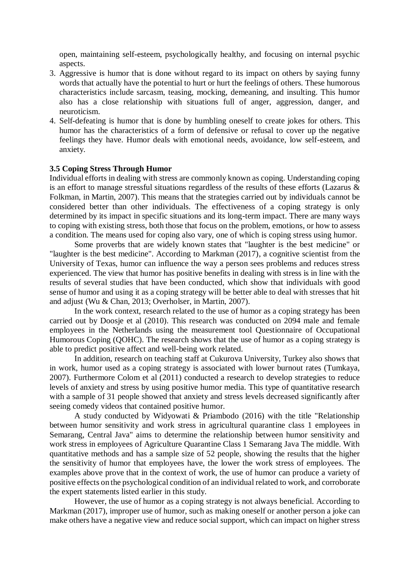open, maintaining self-esteem, psychologically healthy, and focusing on internal psychic aspects.

- 3. Aggressive is humor that is done without regard to its impact on others by saying funny words that actually have the potential to hurt or hurt the feelings of others. These humorous characteristics include sarcasm, teasing, mocking, demeaning, and insulting. This humor also has a close relationship with situations full of anger, aggression, danger, and neuroticism.
- 4. Self-defeating is humor that is done by humbling oneself to create jokes for others. This humor has the characteristics of a form of defensive or refusal to cover up the negative feelings they have. Humor deals with emotional needs, avoidance, low self-esteem, and anxiety.

#### **3.5 Coping Stress Through Humor**

Individual efforts in dealing with stress are commonly known as coping. Understanding coping is an effort to manage stressful situations regardless of the results of these efforts (Lazarus & Folkman, in Martin, 2007). This means that the strategies carried out by individuals cannot be considered better than other individuals. The effectiveness of a coping strategy is only determined by its impact in specific situations and its long-term impact. There are many ways to coping with existing stress, both those that focus on the problem, emotions, or how to assess a condition. The means used for coping also vary, one of which is coping stress using humor.

Some proverbs that are widely known states that "laughter is the best medicine" or "laughter is the best medicine". According to Markman (2017), a cognitive scientist from the University of Texas, humor can influence the way a person sees problems and reduces stress experienced. The view that humor has positive benefits in dealing with stress is in line with the results of several studies that have been conducted, which show that individuals with good sense of humor and using it as a coping strategy will be better able to deal with stresses that hit and adjust (Wu & Chan, 2013; Overholser, in Martin, 2007).

In the work context, research related to the use of humor as a coping strategy has been carried out by Doosje et al (2010). This research was conducted on 2094 male and female employees in the Netherlands using the measurement tool Questionnaire of Occupational Humorous Coping (QOHC). The research shows that the use of humor as a coping strategy is able to predict positive affect and well-being work related.

In addition, research on teaching staff at Cukurova University, Turkey also shows that in work, humor used as a coping strategy is associated with lower burnout rates (Tumkaya, 2007). Furthermore Colom et al (2011) conducted a research to develop strategies to reduce levels of anxiety and stress by using positive humor media. This type of quantitative research with a sample of 31 people showed that anxiety and stress levels decreased significantly after seeing comedy videos that contained positive humor.

A study conducted by Widyowati & Priambodo (2016) with the title "Relationship between humor sensitivity and work stress in agricultural quarantine class 1 employees in Semarang, Central Java" aims to determine the relationship between humor sensitivity and work stress in employees of Agriculture Quarantine Class 1 Semarang Java The middle. With quantitative methods and has a sample size of 52 people, showing the results that the higher the sensitivity of humor that employees have, the lower the work stress of employees. The examples above prove that in the context of work, the use of humor can produce a variety of positive effects on the psychological condition of an individual related to work, and corroborate the expert statements listed earlier in this study.

However, the use of humor as a coping strategy is not always beneficial. According to Markman (2017), improper use of humor, such as making oneself or another person a joke can make others have a negative view and reduce social support, which can impact on higher stress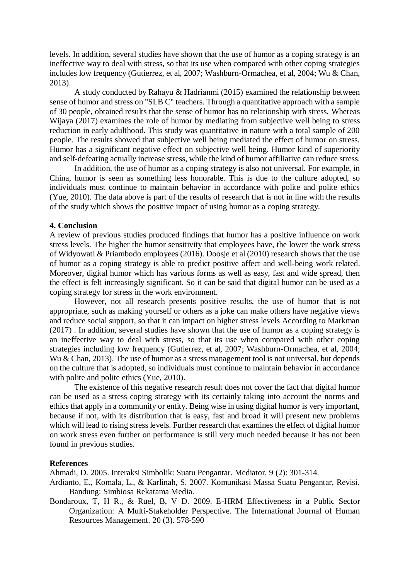levels. In addition, several studies have shown that the use of humor as a coping strategy is an ineffective way to deal with stress, so that its use when compared with other coping strategies includes low frequency (Gutierrez, et al, 2007; Washburn-Ormachea, et al, 2004; Wu & Chan, 2013).

A study conducted by Rahayu & Hadrianmi (2015) examined the relationship between sense of humor and stress on "SLB C" teachers. Through a quantitative approach with a sample of 30 people, obtained results that the sense of humor has no relationship with stress. Whereas Wijaya (2017) examines the role of humor by mediating from subjective well being to stress reduction in early adulthood. This study was quantitative in nature with a total sample of 200 people. The results showed that subjective well being mediated the effect of humor on stress. Humor has a significant negative effect on subjective well being. Humor kind of superiority and self-defeating actually increase stress, while the kind of humor affiliative can reduce stress.

In addition, the use of humor as a coping strategy is also not universal. For example, in China, humor is seen as something less honorable. This is due to the culture adopted, so individuals must continue to maintain behavior in accordance with polite and polite ethics (Yue, 2010). The data above is part of the results of research that is not in line with the results of the study which shows the positive impact of using humor as a coping strategy.

#### **4. Conclusion**

A review of previous studies produced findings that humor has a positive influence on work stress levels. The higher the humor sensitivity that employees have, the lower the work stress of Widyowati & Priambodo employees (2016). Doosje et al (2010) research shows that the use of humor as a coping strategy is able to predict positive affect and well-being work related. Moreover, digital humor which has various forms as well as easy, fast and wide spread, then the effect is felt increasingly significant. So it can be said that digital humor can be used as a coping strategy for stress in the work environment.

However, not all research presents positive results, the use of humor that is not appropriate, such as making yourself or others as a joke can make others have negative views and reduce social support, so that it can impact on higher stress levels According to Markman (2017) . In addition, several studies have shown that the use of humor as a coping strategy is an ineffective way to deal with stress, so that its use when compared with other coping strategies including low frequency (Gutierrez, et al, 2007; Washburn-Ormachea, et al, 2004; Wu & Chan, 2013). The use of humor as a stress management tool is not universal, but depends on the culture that is adopted, so individuals must continue to maintain behavior in accordance with polite and polite ethics (Yue, 2010).

The existence of this negative research result does not cover the fact that digital humor can be used as a stress coping strategy with its certainly taking into account the norms and ethics that apply in a community or entity. Being wise in using digital humor is very important, because if not, with its distribution that is easy, fast and broad it will present new problems which will lead to rising stress levels. Further research that examines the effect of digital humor on work stress even further on performance is still very much needed because it has not been found in previous studies.

#### **References**

Ahmadi, D. 2005. Interaksi Simbolik: Suatu Pengantar. Mediator, 9 (2): 301-314.

- Ardianto, E., Komala, L., & Karlinah, S. 2007. Komunikasi Massa Suatu Pengantar, Revisi. Bandung: Simbiosa Rekatama Media.
- Bondaroux, T, H R., & Ruel, B, V D. 2009. E-HRM Effectiveness in a Public Sector Organization: A Multi-Stakeholder Perspective. The International Journal of Human Resources Management. 20 (3). 578-590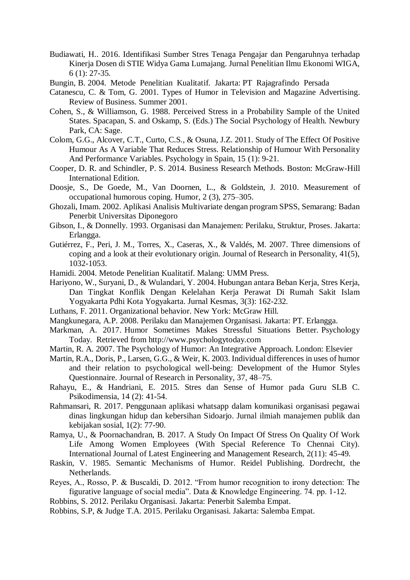- Budiawati, H.. 2016. Identifikasi Sumber Stres Tenaga Pengajar dan Pengaruhnya terhadap Kinerja Dosen di STIE Widya Gama Lumajang. Jurnal Penelitian Ilmu Ekonomi WIGA, 6 (1): 27-35.
- Bungin, B. 2004. Metode Penelitian Kualitatif. Jakarta: PT Rajagrafindo Persada
- Catanescu, C. & Tom, G. 2001. Types of Humor in Television and Magazine Advertising. Review of Business. Summer 2001.
- Cohen, S., & Williamson, G. 1988. Perceived Stress in a Probability Sample of the United States. Spacapan, S. and Oskamp, S. (Eds.) The Social Psychology of Health. Newbury Park, CA: Sage.
- Colom, G.G., Alcover, C.T., Curto, C.S., & Osuna, J.Z. 2011. Study of The Effect Of Positive Humour As A Variable That Reduces Stress. Relationship of Humour With Personality And Performance Variables. Psychology in Spain, 15 (1): 9-21.
- Cooper, D. R. and Schindler, P. S. 2014. Business Research Methods. Boston: McGraw-Hill International Edition.
- Doosje, S., De Goede, M., Van Doornen, L., & Goldstein, J. 2010. Measurement of occupational humorous coping. Humor, 2 (3), 275–305.
- Ghozali, Imam. 2002. Aplikasi Analisis Multivariate dengan program SPSS, Semarang: Badan Penerbit Universitas Diponegoro
- Gibson, I., & Donnelly. 1993. Organisasi dan Manajemen: Perilaku, Struktur, Proses. Jakarta: Erlangga.
- Gutiérrez, F., Peri, J. M., Torres, X., Caseras, X., & Valdés, M. 2007. Three dimensions of coping and a look at their evolutionary origin. Journal of Research in Personality, 41(5), 1032-1053.
- Hamidi. 2004. Metode Penelitian Kualitatif. Malang: UMM Press.
- Hariyono, W., Suryani, D., & Wulandari, Y. 2004. Hubungan antara Beban Kerja, Stres Kerja, Dan Tingkat Konflik Dengan Kelelahan Kerja Perawat Di Rumah Sakit Islam Yogyakarta Pdhi Kota Yogyakarta. Jurnal Kesmas, 3(3): 162-232.
- Luthans, F. 2011. Organizational behavior. New York: McGraw Hill.
- Mangkunegara, A.P. 2008. Perilaku dan Manajemen Organisasi. Jakarta: PT. Erlangga.
- Markman, A. 2017. Humor Sometimes Makes Stressful Situations Better. Psychology Today. Retrieved from http://www.psychologytoday.com
- Martin, R. A. 2007. The Psychology of Humor: An Integrative Approach. London: Elsevier
- Martin, R.A., Doris, P., Larsen, G.G., & Weir, K. 2003. Individual differences in uses of humor and their relation to psychological well-being: Development of the Humor Styles Questionnaire. Journal of Research in Personality, 37, 48–75.
- Rahayu, E., & Handriani, E. 2015. Stres dan Sense of Humor pada Guru SLB C. Psikodimensia, 14 (2): 41-54.
- Rahmansari, R. 2017. Penggunaan aplikasi whatsapp dalam komunikasi organisasi pegawai dinas lingkungan hidup dan kebersihan Sidoarjo. Jurnal ilmiah manajemen publik dan kebijakan sosial, 1(2): 77-90.
- Ramya, U., & Poornachandran, B. 2017. A Study On Impact Of Stress On Quality Of Work Life Among Women Employees (With Special Reference To Chennai City). International Journal of Latest Engineering and Management Research, 2(11): 45-49.
- Raskin, V. 1985. Semantic Mechanisms of Humor. Reidel Publishing. Dordrecht, the Netherlands.
- Reyes, A., Rosso, P. & Buscaldi, D. 2012. "From humor recognition to irony detection: The figurative language of social media". Data & Knowledge Engineering. 74. pp. 1-12.

Robbins, S. 2012. Perilaku Organisasi. Jakarta: Penerbit Salemba Empat.

Robbins, S.P, & Judge T.A. 2015. Perilaku Organisasi. Jakarta: Salemba Empat.